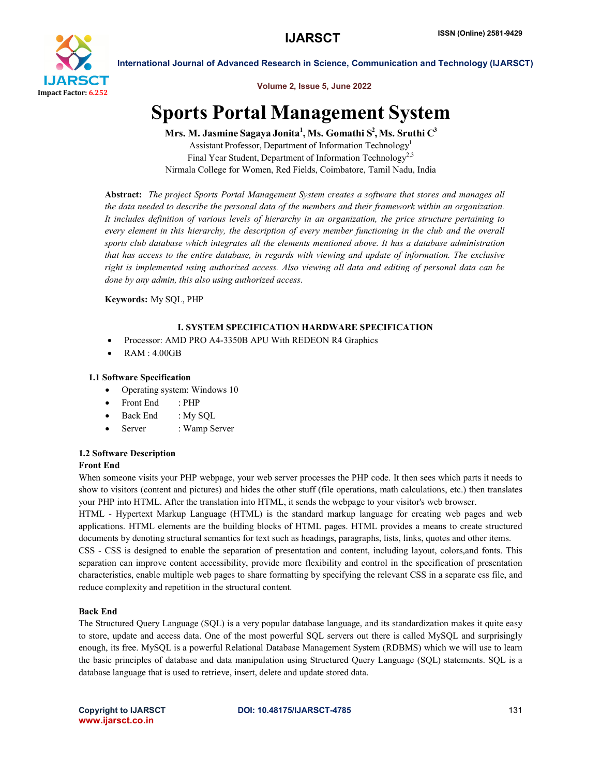

International Journal of Advanced Research in Science, Communication and Technology (IJARSCT)

Volume 2, Issue 5, June 2022

# Sports Portal Management System

Mrs. M. Jasmine Sagaya Jonita $^1,$  Ms. Gomathi  $\text{S}^2,$  Ms. Sruthi  $\text{C}^3$ 

Assistant Professor, Department of Information Technology<sup>1</sup> Final Year Student, Department of Information Technology<sup>2,3</sup> Nirmala College for Women, Red Fields, Coimbatore, Tamil Nadu, India

Abstract: *The project Sports Portal Management System creates a software that stores and manages all the data needed to describe the personal data of the members and their framework within an organization. It includes definition of various levels of hierarchy in an organization, the price structure pertaining to every element in this hierarchy, the description of every member functioning in the club and the overall sports club database which integrates all the elements mentioned above. It has a database administration that has access to the entire database, in regards with viewing and update of information. The exclusive right is implemented using authorized access. Also viewing all data and editing of personal data can be done by any admin, this also using authorized access.*

Keywords: My SQL, PHP

# I. SYSTEM SPECIFICATION HARDWARE SPECIFICATION

- Processor: AMD PRO A4-3350B APU With REDEON R4 Graphics
- RAM : 4.00GB

# 1.1 Software Specification

- Operating system: Windows 10
- Front End : PHP
- Back End : My SQL
- Server : Wamp Server

# 1.2 Software Description

# Front End

When someone visits your PHP webpage, your web server processes the PHP code. It then sees which parts it needs to show to visitors (content and pictures) and hides the other stuff (file operations, math calculations, etc.) then translates your PHP into HTML. After the translation into HTML, it sends the webpage to your visitor's web browser.

HTML - Hypertext Markup Language (HTML) is the standard markup language for creating web pages and web applications. HTML elements are the building blocks of HTML pages. HTML provides a means to create structured documents by denoting structural semantics for text such as headings, paragraphs, lists, links, quotes and other items.

CSS - CSS is designed to enable the separation of presentation and content, including layout, colors,and fonts. This separation can improve content accessibility, provide more flexibility and control in the specification of presentation characteristics, enable multiple web pages to share formatting by specifying the relevant CSS in a separate css file, and reduce complexity and repetition in the structural content.

# Back End

The Structured Query Language (SQL) is a very popular database language, and its standardization makes it quite easy to store, update and access data. One of the most powerful SQL servers out there is called MySQL and surprisingly enough, its free. MySQL is a powerful Relational Database Management System (RDBMS) which we will use to learn the basic principles of database and data manipulation using Structured Query Language (SQL) statements. SQL is a database language that is used to retrieve, insert, delete and update stored data.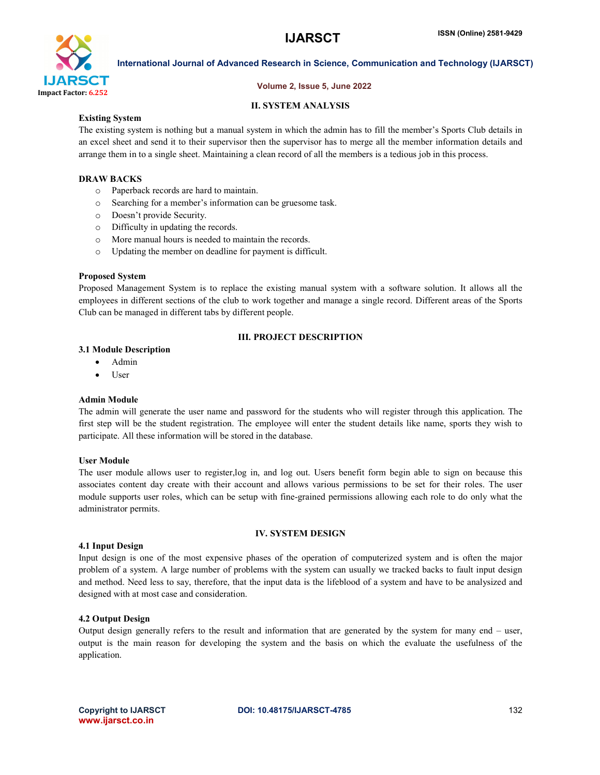

International Journal of Advanced Research in Science, Communication and Technology (IJARSCT)

# Volume 2, Issue 5, June 2022

# II. SYSTEM ANALYSIS

# Existing System

The existing system is nothing but a manual system in which the admin has to fill the member's Sports Club details in an excel sheet and send it to their supervisor then the supervisor has to merge all the member information details and arrange them in to a single sheet. Maintaining a clean record of all the members is a tedious job in this process.

# DRAW BACKS

- o Paperback records are hard to maintain.
- o Searching for a member's information can be gruesome task.
- o Doesn't provide Security.
- o Difficulty in updating the records.
- o More manual hours is needed to maintain the records.
- o Updating the member on deadline for payment is difficult.

### Proposed System

Proposed Management System is to replace the existing manual system with a software solution. It allows all the employees in different sections of the club to work together and manage a single record. Different areas of the Sports Club can be managed in different tabs by different people.

# III. PROJECT DESCRIPTION

### 3.1 Module Description

- Admin
- User

### Admin Module

The admin will generate the user name and password for the students who will register through this application. The first step will be the student registration. The employee will enter the student details like name, sports they wish to participate. All these information will be stored in the database.

### User Module

The user module allows user to register,log in, and log out. Users benefit form begin able to sign on because this associates content day create with their account and allows various permissions to be set for their roles. The user module supports user roles, which can be setup with fine-grained permissions allowing each role to do only what the administrator permits.

# IV. SYSTEM DESIGN

### 4.1 Input Design

Input design is one of the most expensive phases of the operation of computerized system and is often the major problem of a system. A large number of problems with the system can usually we tracked backs to fault input design and method. Need less to say, therefore, that the input data is the lifeblood of a system and have to be analysized and designed with at most case and consideration.

### 4.2 Output Design

Output design generally refers to the result and information that are generated by the system for many end – user, output is the main reason for developing the system and the basis on which the evaluate the usefulness of the application.